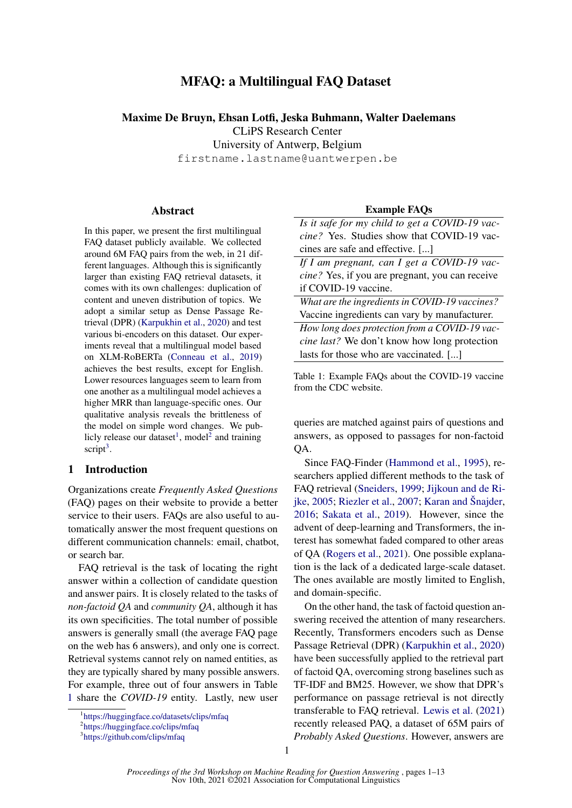# MFAQ: a Multilingual FAQ Dataset

#### Maxime De Bruyn, Ehsan Lotfi, Jeska Buhmann, Walter Daelemans

CLiPS Research Center

University of Antwerp, Belgium

firstname.lastname@uantwerpen.be

#### Abstract

In this paper, we present the first multilingual FAQ dataset publicly available. We collected around 6M FAQ pairs from the web, in 21 different languages. Although this is significantly larger than existing FAQ retrieval datasets, it comes with its own challenges: duplication of content and uneven distribution of topics. We adopt a similar setup as Dense Passage Retrieval (DPR) [\(Karpukhin et al.,](#page-8-0) [2020\)](#page-8-0) and test various bi-encoders on this dataset. Our experiments reveal that a multilingual model based on XLM-RoBERTa [\(Conneau et al.,](#page-8-1) [2019\)](#page-8-1) achieves the best results, except for English. Lower resources languages seem to learn from one another as a multilingual model achieves a higher MRR than language-specific ones. Our qualitative analysis reveals the brittleness of the model on simple word changes. We pub-licly release our dataset<sup>[1](#page-0-0)</sup>, model<sup>[2](#page-0-1)</sup> and training script<sup>[3](#page-0-2)</sup>.

# 1 Introduction

Organizations create *Frequently Asked Questions* (FAQ) pages on their website to provide a better service to their users. FAQs are also useful to automatically answer the most frequent questions on different communication channels: email, chatbot, or search bar.

FAQ retrieval is the task of locating the right answer within a collection of candidate question and answer pairs. It is closely related to the tasks of *non-factoid QA* and *community QA*, although it has its own specificities. The total number of possible answers is generally small (the average FAQ page on the web has 6 answers), and only one is correct. Retrieval systems cannot rely on named entities, as they are typically shared by many possible answers. For example, three out of four answers in Table [1](#page-0-3) share the *COVID-19* entity. Lastly, new user

#### Example FAQs

<span id="page-0-3"></span>

| Is it safe for my child to get a COVID-19 vac-    |
|---------------------------------------------------|
| <i>cine?</i> Yes. Studies show that COVID-19 vac- |
| cines are safe and effective. []                  |
| If I am pregnant, can I get a COVID-19 vac-       |

*cine?* Yes, if you are pregnant, you can receive if COVID-19 vaccine.

*What are the ingredients in COVID-19 vaccines?* Vaccine ingredients can vary by manufacturer.

*How long does protection from a COVID-19 vaccine last?* We don't know how long protection lasts for those who are vaccinated. [...]

Table 1: Example FAQs about the COVID-19 vaccine from the CDC website.

queries are matched against pairs of questions and answers, as opposed to passages for non-factoid QA.

Since FAQ-Finder [\(Hammond et al.,](#page-8-2) [1995\)](#page-8-2), researchers applied different methods to the task of FAQ retrieval [\(Sneiders,](#page-9-0) [1999;](#page-9-0) [Jijkoun and de Ri](#page-8-3)[jke,](#page-8-3) [2005;](#page-8-3) [Riezler et al.,](#page-9-1) [2007;](#page-9-1) [Karan and Šnajder,](#page-8-4) [2016;](#page-8-4) [Sakata et al.,](#page-9-2) [2019\)](#page-9-2). However, since the advent of deep-learning and Transformers, the interest has somewhat faded compared to other areas of QA [\(Rogers et al.,](#page-9-3) [2021\)](#page-9-3). One possible explanation is the lack of a dedicated large-scale dataset. The ones available are mostly limited to English, and domain-specific.

On the other hand, the task of factoid question answering received the attention of many researchers. Recently, Transformers encoders such as Dense Passage Retrieval (DPR) [\(Karpukhin et al.,](#page-8-0) [2020\)](#page-8-0) have been successfully applied to the retrieval part of factoid QA, overcoming strong baselines such as TF-IDF and BM25. However, we show that DPR's performance on passage retrieval is not directly transferable to FAQ retrieval. [Lewis et al.](#page-9-4) [\(2021\)](#page-9-4) recently released PAQ, a dataset of 65M pairs of *Probably Asked Questions*. However, answers are

<span id="page-0-0"></span><sup>1</sup> <https://huggingface.co/datasets/clips/mfaq>

<span id="page-0-1"></span><sup>2</sup> <https://huggingface.co/clips/mfaq>

<span id="page-0-2"></span><sup>3</sup> <https://github.com/clips/mfaq>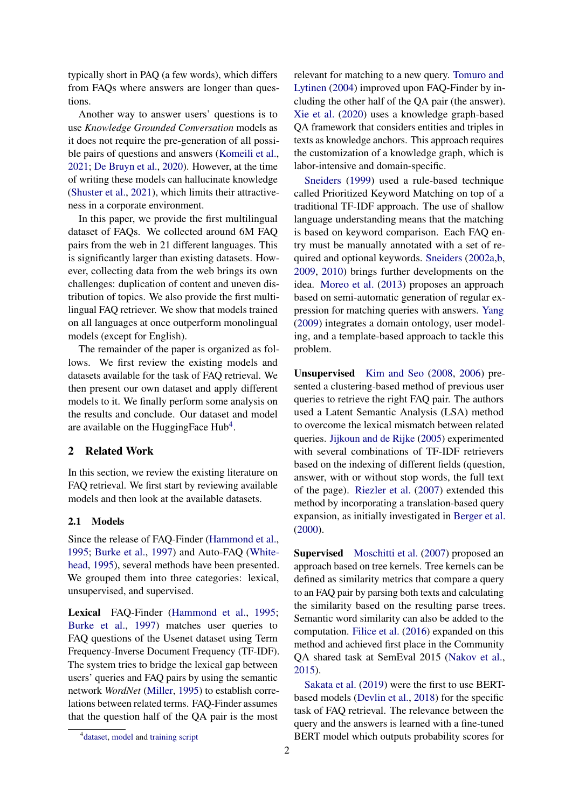typically short in PAQ (a few words), which differs from FAQs where answers are longer than questions.

Another way to answer users' questions is to use *Knowledge Grounded Conversation* models as it does not require the pre-generation of all possible pairs of questions and answers [\(Komeili et al.,](#page-8-5) [2021;](#page-8-5) [De Bruyn et al.,](#page-8-6) [2020\)](#page-8-6). However, at the time of writing these models can hallucinate knowledge [\(Shuster et al.,](#page-9-5) [2021\)](#page-9-5), which limits their attractiveness in a corporate environment.

In this paper, we provide the first multilingual dataset of FAQs. We collected around 6M FAQ pairs from the web in 21 different languages. This is significantly larger than existing datasets. However, collecting data from the web brings its own challenges: duplication of content and uneven distribution of topics. We also provide the first multilingual FAQ retriever. We show that models trained on all languages at once outperform monolingual models (except for English).

The remainder of the paper is organized as follows. We first review the existing models and datasets available for the task of FAQ retrieval. We then present our own dataset and apply different models to it. We finally perform some analysis on the results and conclude. Our dataset and model are available on the Hugging Face  $Hub<sup>4</sup>$  $Hub<sup>4</sup>$  $Hub<sup>4</sup>$ .

# 2 Related Work

In this section, we review the existing literature on FAQ retrieval. We first start by reviewing available models and then look at the available datasets.

#### 2.1 Models

Since the release of FAQ-Finder [\(Hammond et al.,](#page-8-2) [1995;](#page-8-2) [Burke et al.,](#page-8-7) [1997\)](#page-8-7) and Auto-FAQ [\(White](#page-10-0)[head,](#page-10-0) [1995\)](#page-10-0), several methods have been presented. We grouped them into three categories: lexical, unsupervised, and supervised.

Lexical FAQ-Finder [\(Hammond et al.,](#page-8-2) [1995;](#page-8-2) [Burke et al.,](#page-8-7) [1997\)](#page-8-7) matches user queries to FAQ questions of the Usenet dataset using Term Frequency-Inverse Document Frequency (TF-IDF). The system tries to bridge the lexical gap between users' queries and FAQ pairs by using the semantic network *WordNet* [\(Miller,](#page-9-6) [1995\)](#page-9-6) to establish correlations between related terms. FAQ-Finder assumes that the question half of the QA pair is the most

relevant for matching to a new query. [Tomuro and](#page-9-7) [Lytinen](#page-9-7) [\(2004\)](#page-9-7) improved upon FAQ-Finder by including the other half of the QA pair (the answer). [Xie et al.](#page-10-1) [\(2020\)](#page-10-1) uses a knowledge graph-based QA framework that considers entities and triples in texts as knowledge anchors. This approach requires the customization of a knowledge graph, which is labor-intensive and domain-specific.

[Sneiders](#page-9-0) [\(1999\)](#page-9-0) used a rule-based technique called Prioritized Keyword Matching on top of a traditional TF-IDF approach. The use of shallow language understanding means that the matching is based on keyword comparison. Each FAQ entry must be manually annotated with a set of required and optional keywords. [Sneiders](#page-9-8) [\(2002a](#page-9-8)[,b,](#page-9-9) [2009,](#page-9-10) [2010\)](#page-9-11) brings further developments on the idea. [Moreo et al.](#page-9-12) [\(2013\)](#page-9-12) proposes an approach based on semi-automatic generation of regular expression for matching queries with answers. [Yang](#page-10-2) [\(2009\)](#page-10-2) integrates a domain ontology, user modeling, and a template-based approach to tackle this problem.

Unsupervised [Kim and Seo](#page-8-8) [\(2008,](#page-8-8) [2006\)](#page-8-9) presented a clustering-based method of previous user queries to retrieve the right FAQ pair. The authors used a Latent Semantic Analysis (LSA) method to overcome the lexical mismatch between related queries. [Jijkoun and de Rijke](#page-8-3) [\(2005\)](#page-8-3) experimented with several combinations of TF-IDF retrievers based on the indexing of different fields (question, answer, with or without stop words, the full text of the page). [Riezler et al.](#page-9-1) [\(2007\)](#page-9-1) extended this method by incorporating a translation-based query expansion, as initially investigated in [Berger et al.](#page-8-10) [\(2000\)](#page-8-10).

Supervised [Moschitti et al.](#page-9-13) [\(2007\)](#page-9-13) proposed an approach based on tree kernels. Tree kernels can be defined as similarity metrics that compare a query to an FAQ pair by parsing both texts and calculating the similarity based on the resulting parse trees. Semantic word similarity can also be added to the computation. [Filice et al.](#page-8-11) [\(2016\)](#page-8-11) expanded on this method and achieved first place in the Community QA shared task at SemEval 2015 [\(Nakov et al.,](#page-9-14) [2015\)](#page-9-14).

[Sakata et al.](#page-9-2) [\(2019\)](#page-9-2) were the first to use BERTbased models [\(Devlin et al.,](#page-8-12) [2018\)](#page-8-12) for the specific task of FAQ retrieval. The relevance between the query and the answers is learned with a fine-tuned BERT model which outputs probability scores for

<span id="page-1-0"></span><sup>&</sup>lt;sup>4</sup> [dataset,](https://huggingface.co/datasets/clips/mfaq) [model](https://huggingface.co/clips/mfaq) and [training script](https://github.com/clips/mfaq)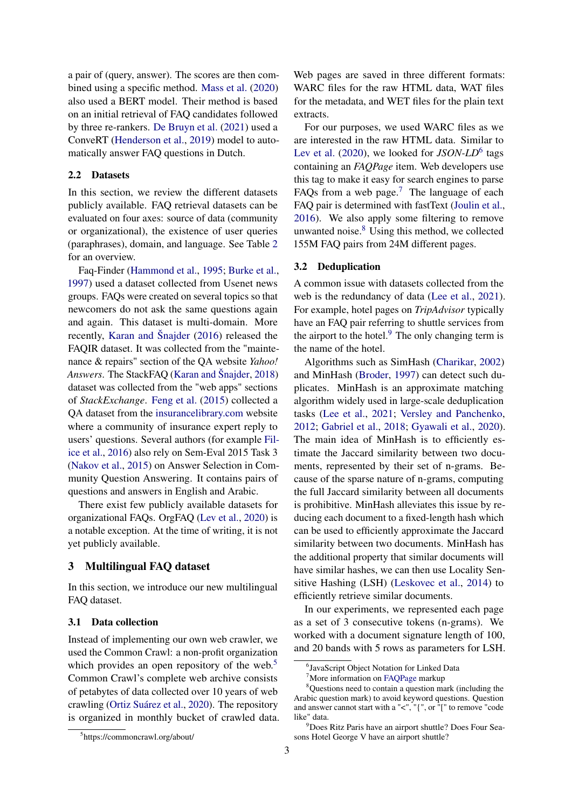a pair of (query, answer). The scores are then combined using a specific method. [Mass et al.](#page-9-15) [\(2020\)](#page-9-15) also used a BERT model. Their method is based on an initial retrieval of FAQ candidates followed by three re-rankers. [De Bruyn et al.](#page-8-13) [\(2021\)](#page-8-13) used a ConveRT [\(Henderson et al.,](#page-8-14) [2019\)](#page-8-14) model to automatically answer FAQ questions in Dutch.

# 2.2 Datasets

In this section, we review the different datasets publicly available. FAQ retrieval datasets can be evaluated on four axes: source of data (community or organizational), the existence of user queries (paraphrases), domain, and language. See Table [2](#page-3-0) for an overview.

Faq-Finder [\(Hammond et al.,](#page-8-2) [1995;](#page-8-2) [Burke et al.,](#page-8-7) [1997\)](#page-8-7) used a dataset collected from Usenet news groups. FAQs were created on several topics so that newcomers do not ask the same questions again and again. This dataset is multi-domain. More recently, [Karan and Šnajder](#page-8-4) [\(2016\)](#page-8-4) released the FAQIR dataset. It was collected from the "maintenance & repairs" section of the QA website *Yahoo! Answers*. The StackFAQ [\(Karan and Šnajder,](#page-8-15) [2018\)](#page-8-15) dataset was collected from the "web apps" sections of *StackExchange*. [Feng et al.](#page-8-16) [\(2015\)](#page-8-16) collected a QA dataset from the [insurancelibrary.com](http://www.insurancelibrary.com) website where a community of insurance expert reply to users' questions. Several authors (for example [Fil](#page-8-11)[ice et al.,](#page-8-11) [2016\)](#page-8-11) also rely on Sem-Eval 2015 Task 3 [\(Nakov et al.,](#page-9-14) [2015\)](#page-9-14) on Answer Selection in Community Question Answering. It contains pairs of questions and answers in English and Arabic.

There exist few publicly available datasets for organizational FAQs. OrgFAQ [\(Lev et al.,](#page-9-16) [2020\)](#page-9-16) is a notable exception. At the time of writing, it is not yet publicly available.

# 3 Multilingual FAQ dataset

In this section, we introduce our new multilingual FAQ dataset.

#### 3.1 Data collection

Instead of implementing our own web crawler, we used the Common Crawl: a non-profit organization which provides an open repository of the web.<sup>[5](#page-2-0)</sup> Common Crawl's complete web archive consists of petabytes of data collected over 10 years of web crawling [\(Ortiz Suárez et al.,](#page-9-17) [2020\)](#page-9-17). The repository is organized in monthly bucket of crawled data. Web pages are saved in three different formats: WARC files for the raw HTML data, WAT files for the metadata, and WET files for the plain text extracts.

For our purposes, we used WARC files as we are interested in the raw HTML data. Similar to [Lev et al.](#page-9-16) [\(2020\)](#page-9-16), we looked for *JSON-LD*<sup>[6](#page-2-1)</sup> tags containing an *FAQPage* item. Web developers use this tag to make it easy for search engines to parse FAQs from a web page.<sup>[7](#page-2-2)</sup> The language of each FAQ pair is determined with fastText [\(Joulin et al.,](#page-8-17) [2016\)](#page-8-17). We also apply some filtering to remove unwanted noise. $8 \text{ Using this method, we collected}$  $8 \text{ Using this method, we collected}$ 155M FAQ pairs from 24M different pages.

#### 3.2 Deduplication

A common issue with datasets collected from the web is the redundancy of data [\(Lee et al.,](#page-9-18) [2021\)](#page-9-18). For example, hotel pages on *TripAdvisor* typically have an FAQ pair referring to shuttle services from the airport to the hotel. $9$  The only changing term is the name of the hotel.

Algorithms such as SimHash [\(Charikar,](#page-8-18) [2002\)](#page-8-18) and MinHash [\(Broder,](#page-8-19) [1997\)](#page-8-19) can detect such duplicates. MinHash is an approximate matching algorithm widely used in large-scale deduplication tasks [\(Lee et al.,](#page-9-18) [2021;](#page-9-18) [Versley and Panchenko,](#page-9-19) [2012;](#page-9-19) [Gabriel et al.,](#page-8-20) [2018;](#page-8-20) [Gyawali et al.,](#page-8-21) [2020\)](#page-8-21). The main idea of MinHash is to efficiently estimate the Jaccard similarity between two documents, represented by their set of n-grams. Because of the sparse nature of n-grams, computing the full Jaccard similarity between all documents is prohibitive. MinHash alleviates this issue by reducing each document to a fixed-length hash which can be used to efficiently approximate the Jaccard similarity between two documents. MinHash has the additional property that similar documents will have similar hashes, we can then use Locality Sensitive Hashing (LSH) [\(Leskovec et al.,](#page-9-20) [2014\)](#page-9-20) to efficiently retrieve similar documents.

In our experiments, we represented each page as a set of 3 consecutive tokens (n-grams). We worked with a document signature length of 100, and 20 bands with 5 rows as parameters for LSH.

<span id="page-2-0"></span><sup>5</sup> https://commoncrawl.org/about/

<span id="page-2-1"></span><sup>6</sup> JavaScript Object Notation for Linked Data

<span id="page-2-3"></span><span id="page-2-2"></span><sup>7</sup>More information on [FAQPage](https://developers.google.com/search/docs/advanced/structured-data/faqpage) markup

<sup>8</sup>Questions need to contain a question mark (including the Arabic question mark) to avoid keyword questions. Question and answer cannot start with a "<", "{", or "[" to remove "code like" data.

<span id="page-2-4"></span><sup>9</sup>Does Ritz Paris have an airport shuttle? Does Four Seasons Hotel George V have an airport shuttle?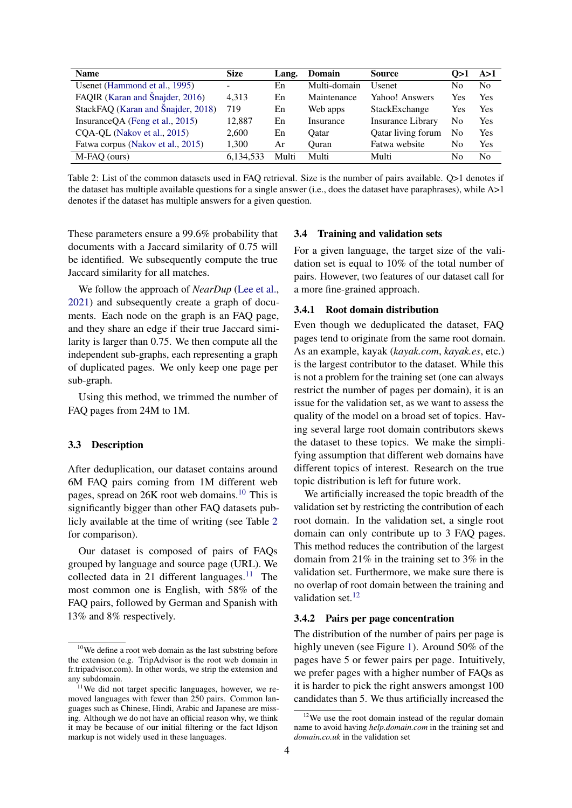<span id="page-3-0"></span>

| <b>Name</b>                        | <b>Size</b> | Lang. | <b>Domain</b> | <b>Source</b>            | () > 1 | A > 1          |
|------------------------------------|-------------|-------|---------------|--------------------------|--------|----------------|
| Usenet (Hammond et al., 1995)      | -           | En    | Multi-domain  | <b>U</b> senet           | No     | N <sub>0</sub> |
| FAQIR (Karan and Šnajder, 2016)    | 4.313       | En    | Maintenance   | Yahoo! Answers           | Yes    | Yes            |
| StackFAQ (Karan and Šnajder, 2018) | 719         | En    | Web apps      | StackExchange            | Yes    | Yes            |
| InsuranceQA (Feng et al., 2015)    | 12,887      | En    | Insurance     | <b>Insurance Library</b> | No     | Yes            |
| CQA-QL (Nakov et al., 2015)        | 2.600       | En    | Oatar         | Qatar living forum       | No     | Yes            |
| Fatwa corpus (Nakov et al., 2015)  | 1.300       | Ar    | Ouran         | Fatwa website            | No     | Yes            |
| M-FAO (ours)                       | 6.134.533   | Multi | Multi         | Multi                    | No     | N <sub>0</sub> |

Table 2: List of the common datasets used in FAQ retrieval. Size is the number of pairs available. Q>1 denotes if the dataset has multiple available questions for a single answer (i.e., does the dataset have paraphrases), while A>1 denotes if the dataset has multiple answers for a given question.

These parameters ensure a 99.6% probability that documents with a Jaccard similarity of 0.75 will be identified. We subsequently compute the true Jaccard similarity for all matches.

We follow the approach of *NearDup* [\(Lee et al.,](#page-9-18) [2021\)](#page-9-18) and subsequently create a graph of documents. Each node on the graph is an FAQ page, and they share an edge if their true Jaccard similarity is larger than 0.75. We then compute all the independent sub-graphs, each representing a graph of duplicated pages. We only keep one page per sub-graph.

Using this method, we trimmed the number of FAQ pages from 24M to 1M.

### 3.3 Description

After deduplication, our dataset contains around 6M FAQ pairs coming from 1M different web pages, spread on 26K root web domains.[10](#page-3-1) This is significantly bigger than other FAQ datasets publicly available at the time of writing (see Table [2](#page-3-0) for comparison).

Our dataset is composed of pairs of FAQs grouped by language and source page (URL). We collected data in 21 different languages.<sup>[11](#page-3-2)</sup> The most common one is English, with 58% of the FAQ pairs, followed by German and Spanish with 13% and 8% respectively.

#### 3.4 Training and validation sets

For a given language, the target size of the validation set is equal to 10% of the total number of pairs. However, two features of our dataset call for a more fine-grained approach.

# 3.4.1 Root domain distribution

Even though we deduplicated the dataset, FAQ pages tend to originate from the same root domain. As an example, kayak (*kayak.com*, *kayak.es*, etc.) is the largest contributor to the dataset. While this is not a problem for the training set (one can always restrict the number of pages per domain), it is an issue for the validation set, as we want to assess the quality of the model on a broad set of topics. Having several large root domain contributors skews the dataset to these topics. We make the simplifying assumption that different web domains have different topics of interest. Research on the true topic distribution is left for future work.

We artificially increased the topic breadth of the validation set by restricting the contribution of each root domain. In the validation set, a single root domain can only contribute up to 3 FAQ pages. This method reduces the contribution of the largest domain from 21% in the training set to 3% in the validation set. Furthermore, we make sure there is no overlap of root domain between the training and validation set.<sup>[12](#page-3-3)</sup>

# 3.4.2 Pairs per page concentration

The distribution of the number of pairs per page is highly uneven (see Figure [1\)](#page-4-0). Around 50% of the pages have 5 or fewer pairs per page. Intuitively, we prefer pages with a higher number of FAQs as it is harder to pick the right answers amongst 100 candidates than 5. We thus artificially increased the

<span id="page-3-1"></span><sup>10</sup>We define a root web domain as the last substring before the extension (e.g. TripAdvisor is the root web domain in fr.tripadvisor.com). In other words, we strip the extension and any subdomain.

<span id="page-3-2"></span> $11$ We did not target specific languages, however, we removed languages with fewer than 250 pairs. Common languages such as Chinese, Hindi, Arabic and Japanese are missing. Although we do not have an official reason why, we think it may be because of our initial filtering or the fact ldjson markup is not widely used in these languages.

<span id="page-3-3"></span><sup>&</sup>lt;sup>12</sup>We use the root domain instead of the regular domain name to avoid having *help.domain.com* in the training set and *domain.co.uk* in the validation set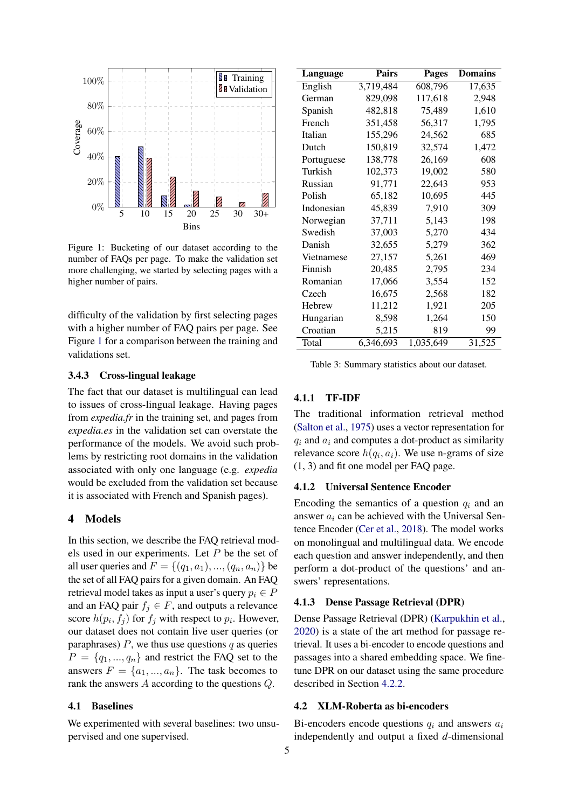<span id="page-4-0"></span>

Figure 1: Bucketing of our dataset according to the number of FAQs per page. To make the validation set more challenging, we started by selecting pages with a higher number of pairs.

difficulty of the validation by first selecting pages with a higher number of FAQ pairs per page. See Figure [1](#page-4-0) for a comparison between the training and validations set.

# 3.4.3 Cross-lingual leakage

The fact that our dataset is multilingual can lead to issues of cross-lingual leakage. Having pages from *expedia.fr* in the training set, and pages from *expedia.es* in the validation set can overstate the performance of the models. We avoid such problems by restricting root domains in the validation associated with only one language (e.g. *expedia* would be excluded from the validation set because it is associated with French and Spanish pages).

# 4 Models

In this section, we describe the FAQ retrieval models used in our experiments. Let P be the set of all user queries and  $F = \{(q_1, a_1), ..., (q_n, a_n)\}\$ be the set of all FAQ pairs for a given domain. An FAQ retrieval model takes as input a user's query  $p_i \in P$ and an FAQ pair  $f_i \in F$ , and outputs a relevance score  $h(p_i, f_j)$  for  $f_j$  with respect to  $p_i$ . However, our dataset does not contain live user queries (or paraphrases)  $P$ , we thus use questions  $q$  as queries  $P = \{q_1, ..., q_n\}$  and restrict the FAQ set to the answers  $F = \{a_1, ..., a_n\}$ . The task becomes to rank the answers A according to the questions Q.

#### 4.1 Baselines

We experimented with several baselines: two unsupervised and one supervised.

| Language   | <b>Pairs</b> | <b>Pages</b> | <b>Domains</b> |
|------------|--------------|--------------|----------------|
| English    | 3,719,484    | 608,796      | 17,635         |
| German     | 829,098      | 117,618      | 2,948          |
| Spanish    | 482,818      | 75,489       | 1,610          |
| French     | 351,458      | 56,317       | 1,795          |
| Italian    | 155,296      | 24,562       | 685            |
| Dutch      | 150,819      | 32,574       | 1,472          |
| Portuguese | 138,778      | 26,169       | 608            |
| Turkish    | 102,373      | 19,002       | 580            |
| Russian    | 91,771       | 22,643       | 953            |
| Polish     | 65,182       | 10,695       | 445            |
| Indonesian | 45,839       | 7,910        | 309            |
| Norwegian  | 37,711       | 5,143        | 198            |
| Swedish    | 37,003       | 5,270        | 434            |
| Danish     | 32,655       | 5,279        | 362            |
| Vietnamese | 27,157       | 5,261        | 469            |
| Finnish    | 20,485       | 2,795        | 234            |
| Romanian   | 17,066       | 3,554        | 152            |
| Czech      | 16,675       | 2,568        | 182            |
| Hebrew     | 11,212       | 1,921        | 205            |
| Hungarian  | 8,598        | 1,264        | 150            |
| Croatian   | 5,215        | 819          | 99             |
| Total      | 6,346,693    | 1,035,649    | 31,525         |

Table 3: Summary statistics about our dataset.

#### 4.1.1 TF-IDF

The traditional information retrieval method [\(Salton et al.,](#page-9-21) [1975\)](#page-9-21) uses a vector representation for  $q_i$  and  $a_i$  and computes a dot-product as similarity relevance score  $h(q_i, a_i)$ . We use n-grams of size (1, 3) and fit one model per FAQ page.

# 4.1.2 Universal Sentence Encoder

Encoding the semantics of a question  $q_i$  and an answer  $a_i$  can be achieved with the Universal Sentence Encoder [\(Cer et al.,](#page-8-22) [2018\)](#page-8-22). The model works on monolingual and multilingual data. We encode each question and answer independently, and then perform a dot-product of the questions' and answers' representations.

#### 4.1.3 Dense Passage Retrieval (DPR)

Dense Passage Retrieval (DPR) [\(Karpukhin et al.,](#page-8-0) [2020\)](#page-8-0) is a state of the art method for passage retrieval. It uses a bi-encoder to encode questions and passages into a shared embedding space. We finetune DPR on our dataset using the same procedure described in Section [4.2.2.](#page-5-0)

#### <span id="page-4-1"></span>4.2 XLM-Roberta as bi-encoders

Bi-encoders encode questions  $q_i$  and answers  $a_i$ independently and output a fixed *d*-dimensional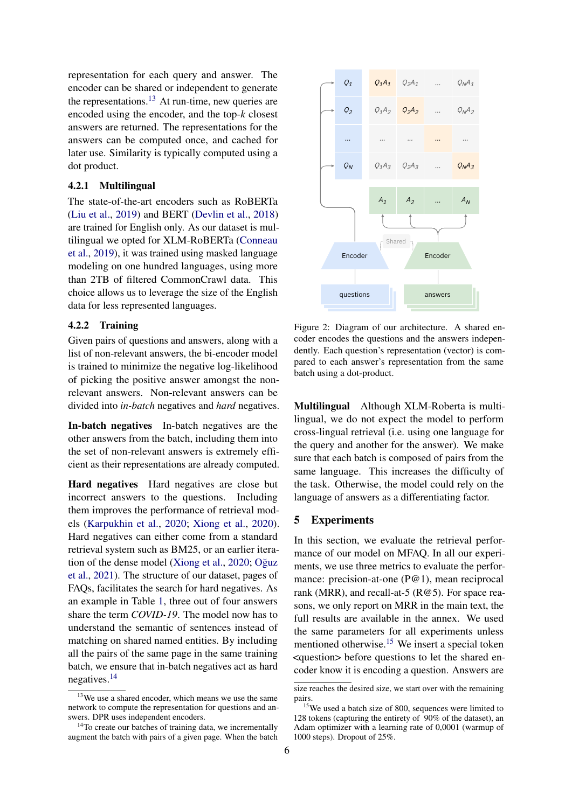representation for each query and answer. The encoder can be shared or independent to generate the representations.<sup>[13](#page-5-1)</sup> At run-time, new queries are encoded using the encoder, and the top-*k* closest answers are returned. The representations for the answers can be computed once, and cached for later use. Similarity is typically computed using a dot product.

# 4.2.1 Multilingual

The state-of-the-art encoders such as RoBERTa [\(Liu et al.,](#page-9-22) [2019\)](#page-9-22) and BERT [\(Devlin et al.,](#page-8-12) [2018\)](#page-8-12) are trained for English only. As our dataset is multilingual we opted for XLM-RoBERTa [\(Conneau](#page-8-1) [et al.,](#page-8-1) [2019\)](#page-8-1), it was trained using masked language modeling on one hundred languages, using more than 2TB of filtered CommonCrawl data. This choice allows us to leverage the size of the English data for less represented languages.

#### <span id="page-5-0"></span>4.2.2 Training

Given pairs of questions and answers, along with a list of non-relevant answers, the bi-encoder model is trained to minimize the negative log-likelihood of picking the positive answer amongst the nonrelevant answers. Non-relevant answers can be divided into *in-batch* negatives and *hard* negatives.

In-batch negatives In-batch negatives are the other answers from the batch, including them into the set of non-relevant answers is extremely efficient as their representations are already computed.

Hard negatives Hard negatives are close but incorrect answers to the questions. Including them improves the performance of retrieval models [\(Karpukhin et al.,](#page-8-0) [2020;](#page-8-0) [Xiong et al.,](#page-10-3) [2020\)](#page-10-3). Hard negatives can either come from a standard retrieval system such as BM25, or an earlier itera-tion of the dense model [\(Xiong et al.,](#page-10-3) [2020;](#page-10-3) Oğuz [et al.,](#page-9-23) [2021\)](#page-9-23). The structure of our dataset, pages of FAQs, facilitates the search for hard negatives. As an example in Table [1,](#page-0-3) three out of four answers share the term *COVID-19*. The model now has to understand the semantic of sentences instead of matching on shared named entities. By including all the pairs of the same page in the same training batch, we ensure that in-batch negatives act as hard negatives.[14](#page-5-2)



Figure 2: Diagram of our architecture. A shared encoder encodes the questions and the answers independently. Each question's representation (vector) is compared to each answer's representation from the same batch using a dot-product.

Multilingual Although XLM-Roberta is multilingual, we do not expect the model to perform cross-lingual retrieval (i.e. using one language for the query and another for the answer). We make sure that each batch is composed of pairs from the same language. This increases the difficulty of the task. Otherwise, the model could rely on the language of answers as a differentiating factor.

#### 5 Experiments

In this section, we evaluate the retrieval performance of our model on MFAQ. In all our experiments, we use three metrics to evaluate the performance: precision-at-one (P@1), mean reciprocal rank (MRR), and recall-at-5 ( $R@5$ ). For space reasons, we only report on MRR in the main text, the full results are available in the annex. We used the same parameters for all experiments unless mentioned otherwise.<sup>[15](#page-5-3)</sup> We insert a special token <question> before questions to let the shared encoder know it is encoding a question. Answers are

<span id="page-5-1"></span><sup>&</sup>lt;sup>13</sup>We use a shared encoder, which means we use the same network to compute the representation for questions and answers. DPR uses independent encoders.

<span id="page-5-2"></span> $14$ To create our batches of training data, we incrementally augment the batch with pairs of a given page. When the batch

size reaches the desired size, we start over with the remaining pairs.

<span id="page-5-3"></span><sup>&</sup>lt;sup>15</sup>We used a batch size of 800, sequences were limited to 128 tokens (capturing the entirety of 90% of the dataset), an Adam optimizer with a learning rate of 0,0001 (warmup of 1000 steps). Dropout of 25%.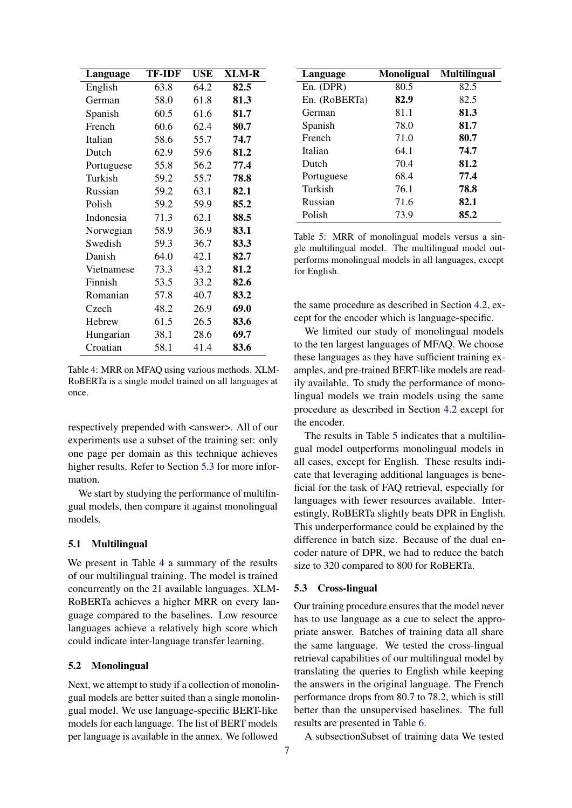<span id="page-6-0"></span>

| Language   | <b>TF-IDF</b> | USE  | <b>XLM-R</b> |
|------------|---------------|------|--------------|
| English    | 63.8          | 64.2 | 82.5         |
| German     | 58.0          | 61.8 | 81.3         |
| Spanish    | 60.5          | 61.6 | 81.7         |
| French     | 60.6          | 62.4 | 80.7         |
| Italian    | 58.6          | 55.7 | 74.7         |
| Dutch      | 62.9          | 59.6 | 81.2         |
| Portuguese | 55.8          | 56.2 | 77.4         |
| Turkish    | 59.2          | 55.7 | 78.8         |
| Russian    | 59.2          | 63.1 | 82.1         |
| Polish     | 59.2          | 59.9 | 85.2         |
| Indonesia  | 71.3          | 62.1 | 88.5         |
| Norwegian  | 58.9          | 36.9 | 83.1         |
| Swedish    | 59.3          | 36.7 | 83.3         |
| Danish     | 64.0          | 42.1 | 82.7         |
| Vietnamese | 73.3          | 43.2 | 81.2         |
| Finnish    | 53.5          | 33.2 | 82.6         |
| Romanian   | 57.8          | 40.7 | 83.2         |
| Czech      | 48.2          | 26.9 | 69.0         |
| Hebrew     | 61.5          | 26.5 | 83.6         |
| Hungarian  | 38.1          | 28.6 | 69.7         |
| Croatian   | 58.1          | 41.4 | 83.6         |

Table 4: MRR on MFAQ using various methods. XLM-RoBERTa is a single model trained on all languages at once.

respectively prepended with <answer>. All of our experiments use a subset of the training set: only one page per domain as this technique achieves higher results. Refer to Section [5.3](#page-7-0) for more information.

We start by studying the performance of multilingual models, then compare it against monolingual models.

# 5.1 Multilingual

We present in Table [4](#page-6-0) a summary of the results of our multilingual training. The model is trained concurrently on the 21 available languages. XLM-RoBERTa achieves a higher MRR on every language compared to the baselines. Low resource languages achieve a relatively high score which could indicate inter-language transfer learning.

# 5.2 Monolingual

Next, we attempt to study if a collection of monolingual models are better suited than a single monolingual model. We use language-specific BERT-like models for each language. The list of BERT models per language is available in the annex. We followed

<span id="page-6-1"></span>

| Language      | <b>Monoligual</b> | <b>Multilingual</b> |
|---------------|-------------------|---------------------|
| En. (DPR)     | 80.5              | 82.5                |
| En. (RoBERTa) | 82.9              | 82.5                |
| German        | 81.1              | 81.3                |
| Spanish       | 78.0              | 81.7                |
| French        | 71.0              | 80.7                |
| Italian       | 64.1              | 74.7                |
| Dutch         | 70.4              | 81.2                |
| Portuguese    | 68.4              | 77.4                |
| Turkish       | 76.1              | 78.8                |
| Russian       | 71.6              | 82.1                |
| Polish        | 73.9              | 85.2                |

Table 5: MRR of monolingual models versus a single multilingual model. The multilingual model outperforms monolingual models in all languages, except for English.

the same procedure as described in Section [4.2,](#page-4-1) except for the encoder which is language-specific.

We limited our study of monolingual models to the ten largest languages of MFAQ. We choose these languages as they have sufficient training examples, and pre-trained BERT-like models are readily available. To study the performance of monolingual models we train models using the same procedure as described in Section [4.2](#page-4-1) except for the encoder.

The results in Table [5](#page-6-1) indicates that a multilingual model outperforms monolingual models in all cases, except for English. These results indicate that leveraging additional languages is beneficial for the task of FAQ retrieval, especially for languages with fewer resources available. Interestingly, RoBERTa slightly beats DPR in English. This underperformance could be explained by the difference in batch size. Because of the dual encoder nature of DPR, we had to reduce the batch size to 320 compared to 800 for RoBERTa.

#### 5.3 Cross-lingual

Our training procedure ensures that the model never has to use language as a cue to select the appropriate answer. Batches of training data all share the same language. We tested the cross-lingual retrieval capabilities of our multilingual model by translating the queries to English while keeping the answers in the original language. The French performance drops from 80.7 to 78.2, which is still better than the unsupervised baselines. The full results are presented in Table [6.](#page-7-0)

A subsectionSubset of training data We tested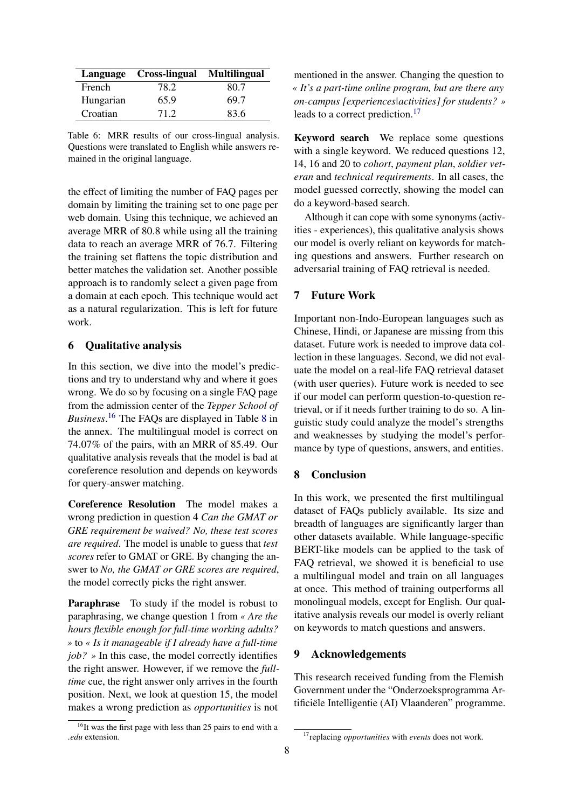<span id="page-7-0"></span>

|           | Language Cross-lingual Multilingual |      |
|-----------|-------------------------------------|------|
| French    | 78.2                                | 80.7 |
| Hungarian | 65.9                                | 69.7 |
| Croatian  | 71.2                                | 83.6 |

Table 6: MRR results of our cross-lingual analysis. Questions were translated to English while answers remained in the original language.

the effect of limiting the number of FAQ pages per domain by limiting the training set to one page per web domain. Using this technique, we achieved an average MRR of 80.8 while using all the training data to reach an average MRR of 76.7. Filtering the training set flattens the topic distribution and better matches the validation set. Another possible approach is to randomly select a given page from a domain at each epoch. This technique would act as a natural regularization. This is left for future work.

# 6 Qualitative analysis

In this section, we dive into the model's predictions and try to understand why and where it goes wrong. We do so by focusing on a single FAQ page from the admission center of the *Tepper School of Business*. [16](#page-7-1) The FAQs are displayed in Table [8](#page-12-0) in the annex. The multilingual model is correct on 74.07% of the pairs, with an MRR of 85.49. Our qualitative analysis reveals that the model is bad at coreference resolution and depends on keywords for query-answer matching.

Coreference Resolution The model makes a wrong prediction in question 4 *Can the GMAT or GRE requirement be waived? No, these test scores are required*. The model is unable to guess that *test scores* refer to GMAT or GRE. By changing the answer to *No, the GMAT or GRE scores are required*, the model correctly picks the right answer.

Paraphrase To study if the model is robust to paraphrasing, we change question 1 from *« Are the hours flexible enough for full-time working adults? »* to *« Is it manageable if I already have a full-time job? »* In this case, the model correctly identifies the right answer. However, if we remove the *fulltime* cue, the right answer only arrives in the fourth position. Next, we look at question 15, the model makes a wrong prediction as *opportunities* is not

mentioned in the answer. Changing the question to *« It's a part-time online program, but are there any on-campus [experiences|activities] for students? »* leads to a correct prediction.<sup>[17](#page-7-2)</sup>

Keyword search We replace some questions with a single keyword. We reduced questions 12, 14, 16 and 20 to *cohort*, *payment plan*, *soldier veteran* and *technical requirements*. In all cases, the model guessed correctly, showing the model can do a keyword-based search.

Although it can cope with some synonyms (activities - experiences), this qualitative analysis shows our model is overly reliant on keywords for matching questions and answers. Further research on adversarial training of FAQ retrieval is needed.

# 7 Future Work

Important non-Indo-European languages such as Chinese, Hindi, or Japanese are missing from this dataset. Future work is needed to improve data collection in these languages. Second, we did not evaluate the model on a real-life FAQ retrieval dataset (with user queries). Future work is needed to see if our model can perform question-to-question retrieval, or if it needs further training to do so. A linguistic study could analyze the model's strengths and weaknesses by studying the model's performance by type of questions, answers, and entities.

# 8 Conclusion

In this work, we presented the first multilingual dataset of FAQs publicly available. Its size and breadth of languages are significantly larger than other datasets available. While language-specific BERT-like models can be applied to the task of FAQ retrieval, we showed it is beneficial to use a multilingual model and train on all languages at once. This method of training outperforms all monolingual models, except for English. Our qualitative analysis reveals our model is overly reliant on keywords to match questions and answers.

#### 9 Acknowledgements

This research received funding from the Flemish Government under the "Onderzoeksprogramma Artificiële Intelligentie (AI) Vlaanderen" programme.

<span id="page-7-1"></span> $16$ It was the first page with less than 25 pairs to end with a *.edu* extension.

<span id="page-7-2"></span><sup>17</sup>replacing *opportunities* with *events* does not work.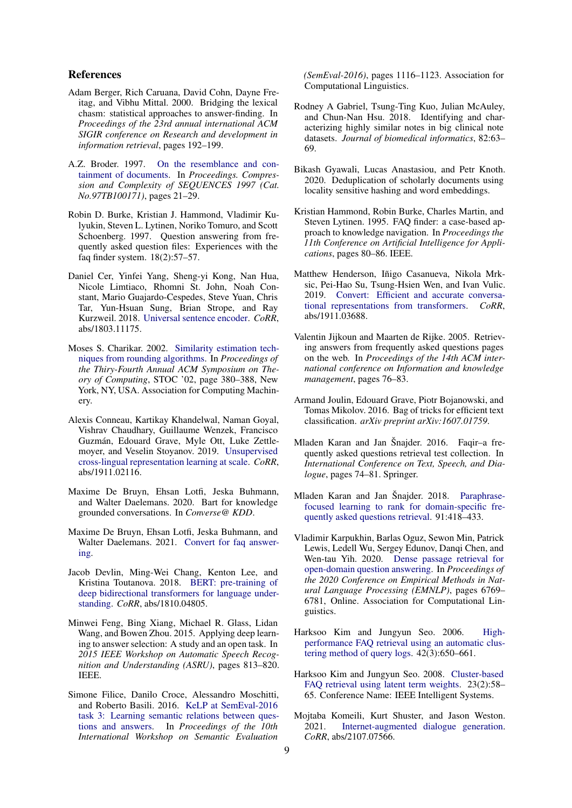### References

- <span id="page-8-10"></span>Adam Berger, Rich Caruana, David Cohn, Dayne Freitag, and Vibhu Mittal. 2000. Bridging the lexical chasm: statistical approaches to answer-finding. In *Proceedings of the 23rd annual international ACM SIGIR conference on Research and development in information retrieval*, pages 192–199.
- <span id="page-8-19"></span>A.Z. Broder. 1997. [On the resemblance and con](https://doi.org/10.1109/SEQUEN.1997.666900)[tainment of documents.](https://doi.org/10.1109/SEQUEN.1997.666900) In *Proceedings. Compression and Complexity of SEQUENCES 1997 (Cat. No.97TB100171)*, pages 21–29.
- <span id="page-8-7"></span>Robin D. Burke, Kristian J. Hammond, Vladimir Kulyukin, Steven L. Lytinen, Noriko Tomuro, and Scott Schoenberg. 1997. Question answering from frequently asked question files: Experiences with the faq finder system. 18(2):57–57.
- <span id="page-8-22"></span>Daniel Cer, Yinfei Yang, Sheng-yi Kong, Nan Hua, Nicole Limtiaco, Rhomni St. John, Noah Constant, Mario Guajardo-Cespedes, Steve Yuan, Chris Tar, Yun-Hsuan Sung, Brian Strope, and Ray Kurzweil. 2018. [Universal sentence encoder.](http://arxiv.org/abs/1803.11175) *CoRR*, abs/1803.11175.
- <span id="page-8-18"></span>Moses S. Charikar. 2002. [Similarity estimation tech](https://doi.org/10.1145/509907.509965)[niques from rounding algorithms.](https://doi.org/10.1145/509907.509965) In *Proceedings of the Thiry-Fourth Annual ACM Symposium on Theory of Computing*, STOC '02, page 380–388, New York, NY, USA. Association for Computing Machinery.
- <span id="page-8-1"></span>Alexis Conneau, Kartikay Khandelwal, Naman Goyal, Vishrav Chaudhary, Guillaume Wenzek, Francisco Guzmán, Edouard Grave, Myle Ott, Luke Zettlemoyer, and Veselin Stoyanov. 2019. [Unsupervised](http://arxiv.org/abs/1911.02116) [cross-lingual representation learning at scale.](http://arxiv.org/abs/1911.02116) *CoRR*, abs/1911.02116.
- <span id="page-8-6"></span>Maxime De Bruyn, Ehsan Lotfi, Jeska Buhmann, and Walter Daelemans. 2020. Bart for knowledge grounded conversations. In *Converse@ KDD*.
- <span id="page-8-13"></span>Maxime De Bruyn, Ehsan Lotfi, Jeska Buhmann, and Walter Daelemans. 2021. [Convert for faq answer](http://arxiv.org/abs/2108.00719)[ing.](http://arxiv.org/abs/2108.00719)
- <span id="page-8-12"></span>Jacob Devlin, Ming-Wei Chang, Kenton Lee, and Kristina Toutanova. 2018. [BERT: pre-training of](http://arxiv.org/abs/1810.04805) [deep bidirectional transformers for language under](http://arxiv.org/abs/1810.04805)[standing.](http://arxiv.org/abs/1810.04805) *CoRR*, abs/1810.04805.
- <span id="page-8-16"></span>Minwei Feng, Bing Xiang, Michael R. Glass, Lidan Wang, and Bowen Zhou. 2015. Applying deep learning to answer selection: A study and an open task. In *2015 IEEE Workshop on Automatic Speech Recognition and Understanding (ASRU)*, pages 813–820. IEEE.
- <span id="page-8-11"></span>Simone Filice, Danilo Croce, Alessandro Moschitti, and Roberto Basili. 2016. [KeLP at SemEval-2016](https://doi.org/10.18653/v1/S16-1172) [task 3: Learning semantic relations between ques](https://doi.org/10.18653/v1/S16-1172)[tions and answers.](https://doi.org/10.18653/v1/S16-1172) In *Proceedings of the 10th International Workshop on Semantic Evaluation*

*(SemEval-2016)*, pages 1116–1123. Association for Computational Linguistics.

- <span id="page-8-20"></span>Rodney A Gabriel, Tsung-Ting Kuo, Julian McAuley, and Chun-Nan Hsu. 2018. Identifying and characterizing highly similar notes in big clinical note datasets. *Journal of biomedical informatics*, 82:63– 69.
- <span id="page-8-21"></span>Bikash Gyawali, Lucas Anastasiou, and Petr Knoth. 2020. Deduplication of scholarly documents using locality sensitive hashing and word embeddings.
- <span id="page-8-2"></span>Kristian Hammond, Robin Burke, Charles Martin, and Steven Lytinen. 1995. FAQ finder: a case-based approach to knowledge navigation. In *Proceedings the 11th Conference on Artificial Intelligence for Applications*, pages 80–86. IEEE.
- <span id="page-8-14"></span>Matthew Henderson, Iñigo Casanueva, Nikola Mrksic, Pei-Hao Su, Tsung-Hsien Wen, and Ivan Vulic. 2019. [Convert: Efficient and accurate conversa](http://arxiv.org/abs/1911.03688)[tional representations from transformers.](http://arxiv.org/abs/1911.03688) *CoRR*, abs/1911.03688.
- <span id="page-8-3"></span>Valentin Jijkoun and Maarten de Rijke. 2005. Retrieving answers from frequently asked questions pages on the web. In *Proceedings of the 14th ACM international conference on Information and knowledge management*, pages 76–83.
- <span id="page-8-17"></span>Armand Joulin, Edouard Grave, Piotr Bojanowski, and Tomas Mikolov. 2016. Bag of tricks for efficient text classification. *arXiv preprint arXiv:1607.01759*.
- <span id="page-8-4"></span>Mladen Karan and Jan Šnajder. 2016. Faqir–a frequently asked questions retrieval test collection. In *International Conference on Text, Speech, and Dialogue*, pages 74–81. Springer.
- <span id="page-8-15"></span>Mladen Karan and Jan Šnajder. 2018. [Paraphrase](https://doi.org/10.1016/j.eswa.2017.09.031)[focused learning to rank for domain-specific fre](https://doi.org/10.1016/j.eswa.2017.09.031)[quently asked questions retrieval.](https://doi.org/10.1016/j.eswa.2017.09.031) 91:418–433.
- <span id="page-8-0"></span>Vladimir Karpukhin, Barlas Oguz, Sewon Min, Patrick Lewis, Ledell Wu, Sergey Edunov, Danqi Chen, and Wen-tau Yih. 2020. [Dense passage retrieval for](https://doi.org/10.18653/v1/2020.emnlp-main.550) [open-domain question answering.](https://doi.org/10.18653/v1/2020.emnlp-main.550) In *Proceedings of the 2020 Conference on Empirical Methods in Natural Language Processing (EMNLP)*, pages 6769– 6781, Online. Association for Computational Linguistics.
- <span id="page-8-9"></span>Harksoo Kim and Jungyun Seo. 2006. [High](https://doi.org/10.1016/j.ipm.2005.04.002)[performance FAQ retrieval using an automatic clus](https://doi.org/10.1016/j.ipm.2005.04.002)[tering method of query logs.](https://doi.org/10.1016/j.ipm.2005.04.002) 42(3):650–661.
- <span id="page-8-8"></span>Harksoo Kim and Jungyun Seo. 2008. [Cluster-based](https://doi.org/10.1109/MIS.2008.23) [FAQ retrieval using latent term weights.](https://doi.org/10.1109/MIS.2008.23) 23(2):58– 65. Conference Name: IEEE Intelligent Systems.
- <span id="page-8-5"></span>Mojtaba Komeili, Kurt Shuster, and Jason Weston. 2021. [Internet-augmented dialogue generation.](http://arxiv.org/abs/2107.07566) *CoRR*, abs/2107.07566.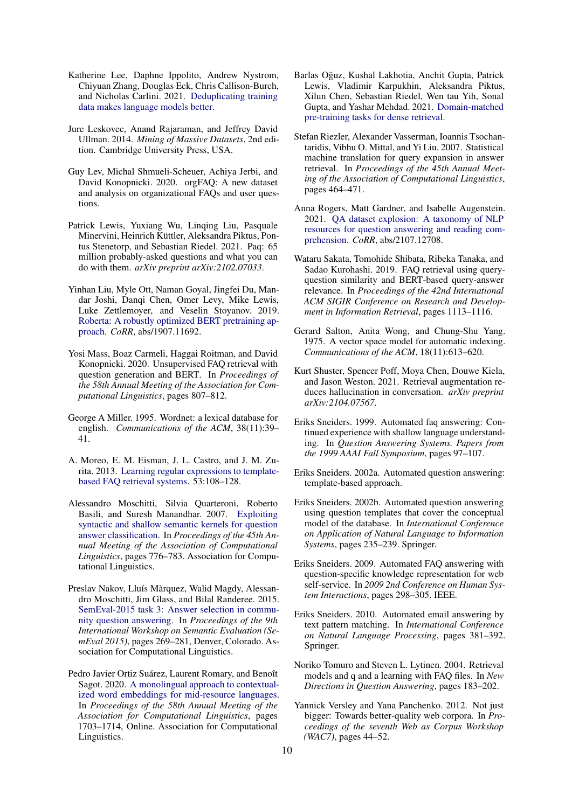- <span id="page-9-18"></span>Katherine Lee, Daphne Ippolito, Andrew Nystrom, Chiyuan Zhang, Douglas Eck, Chris Callison-Burch, and Nicholas Carlini. 2021. [Deduplicating training](http://arxiv.org/abs/2107.06499) [data makes language models better.](http://arxiv.org/abs/2107.06499)
- <span id="page-9-20"></span>Jure Leskovec, Anand Rajaraman, and Jeffrey David Ullman. 2014. *Mining of Massive Datasets*, 2nd edition. Cambridge University Press, USA.
- <span id="page-9-16"></span>Guy Lev, Michal Shmueli-Scheuer, Achiya Jerbi, and David Konopnicki. 2020. orgFAQ: A new dataset and analysis on organizational FAQs and user questions.
- <span id="page-9-4"></span>Patrick Lewis, Yuxiang Wu, Linqing Liu, Pasquale Minervini, Heinrich Küttler, Aleksandra Piktus, Pontus Stenetorp, and Sebastian Riedel. 2021. Paq: 65 million probably-asked questions and what you can do with them. *arXiv preprint arXiv:2102.07033*.
- <span id="page-9-22"></span>Yinhan Liu, Myle Ott, Naman Goyal, Jingfei Du, Mandar Joshi, Danqi Chen, Omer Levy, Mike Lewis, Luke Zettlemoyer, and Veselin Stoyanov. 2019. [Roberta: A robustly optimized BERT pretraining ap](http://arxiv.org/abs/1907.11692)[proach.](http://arxiv.org/abs/1907.11692) *CoRR*, abs/1907.11692.
- <span id="page-9-15"></span>Yosi Mass, Boaz Carmeli, Haggai Roitman, and David Konopnicki. 2020. Unsupervised FAQ retrieval with question generation and BERT. In *Proceedings of the 58th Annual Meeting of the Association for Computational Linguistics*, pages 807–812.
- <span id="page-9-6"></span>George A Miller. 1995. Wordnet: a lexical database for english. *Communications of the ACM*, 38(11):39– 41.
- <span id="page-9-12"></span>A. Moreo, E. M. Eisman, J. L. Castro, and J. M. Zurita. 2013. [Learning regular expressions to template](https://doi.org/10.1016/j.knosys.2013.08.018)[based FAQ retrieval systems.](https://doi.org/10.1016/j.knosys.2013.08.018) 53:108–128.
- <span id="page-9-13"></span>Alessandro Moschitti, Silvia Quarteroni, Roberto Basili, and Suresh Manandhar. 2007. [Exploiting](https://www.aclweb.org/anthology/P07-1098) [syntactic and shallow semantic kernels for question](https://www.aclweb.org/anthology/P07-1098) [answer classification.](https://www.aclweb.org/anthology/P07-1098) In *Proceedings of the 45th Annual Meeting of the Association of Computational Linguistics*, pages 776–783. Association for Computational Linguistics.
- <span id="page-9-14"></span>Preslav Nakov, Lluís Màrquez, Walid Magdy, Alessandro Moschitti, Jim Glass, and Bilal Randeree. 2015. [SemEval-2015 task 3: Answer selection in commu](https://doi.org/10.18653/v1/S15-2047)[nity question answering.](https://doi.org/10.18653/v1/S15-2047) In *Proceedings of the 9th International Workshop on Semantic Evaluation (SemEval 2015)*, pages 269–281, Denver, Colorado. Association for Computational Linguistics.
- <span id="page-9-17"></span>Pedro Javier Ortiz Suárez, Laurent Romary, and Benoît Sagot. 2020. [A monolingual approach to contextual](https://www.aclweb.org/anthology/2020.acl-main.156)[ized word embeddings for mid-resource languages.](https://www.aclweb.org/anthology/2020.acl-main.156) In *Proceedings of the 58th Annual Meeting of the Association for Computational Linguistics*, pages 1703–1714, Online. Association for Computational Linguistics.
- <span id="page-9-23"></span>Barlas Oguz, Kushal Lakhotia, Anchit Gupta, Patrick ˘ Lewis, Vladimir Karpukhin, Aleksandra Piktus, Xilun Chen, Sebastian Riedel, Wen tau Yih, Sonal Gupta, and Yashar Mehdad. 2021. [Domain-matched](http://arxiv.org/abs/2107.13602) [pre-training tasks for dense retrieval.](http://arxiv.org/abs/2107.13602)
- <span id="page-9-1"></span>Stefan Riezler, Alexander Vasserman, Ioannis Tsochantaridis, Vibhu O. Mittal, and Yi Liu. 2007. Statistical machine translation for query expansion in answer retrieval. In *Proceedings of the 45th Annual Meeting of the Association of Computational Linguistics*, pages 464–471.
- <span id="page-9-3"></span>Anna Rogers, Matt Gardner, and Isabelle Augenstein. 2021. [QA dataset explosion: A taxonomy of NLP](http://arxiv.org/abs/2107.12708) [resources for question answering and reading com](http://arxiv.org/abs/2107.12708)[prehension.](http://arxiv.org/abs/2107.12708) *CoRR*, abs/2107.12708.
- <span id="page-9-2"></span>Wataru Sakata, Tomohide Shibata, Ribeka Tanaka, and Sadao Kurohashi. 2019. FAQ retrieval using queryquestion similarity and BERT-based query-answer relevance. In *Proceedings of the 42nd International ACM SIGIR Conference on Research and Development in Information Retrieval*, pages 1113–1116.
- <span id="page-9-21"></span>Gerard Salton, Anita Wong, and Chung-Shu Yang. 1975. A vector space model for automatic indexing. *Communications of the ACM*, 18(11):613–620.
- <span id="page-9-5"></span>Kurt Shuster, Spencer Poff, Moya Chen, Douwe Kiela, and Jason Weston. 2021. Retrieval augmentation reduces hallucination in conversation. *arXiv preprint arXiv:2104.07567*.
- <span id="page-9-0"></span>Eriks Sneiders. 1999. Automated faq answering: Continued experience with shallow language understanding. In *Question Answering Systems. Papers from the 1999 AAAI Fall Symposium*, pages 97–107.
- <span id="page-9-8"></span>Eriks Sneiders. 2002a. Automated question answering: template-based approach.
- <span id="page-9-9"></span>Eriks Sneiders. 2002b. Automated question answering using question templates that cover the conceptual model of the database. In *International Conference on Application of Natural Language to Information Systems*, pages 235–239. Springer.
- <span id="page-9-10"></span>Eriks Sneiders. 2009. Automated FAQ answering with question-specific knowledge representation for web self-service. In *2009 2nd Conference on Human System Interactions*, pages 298–305. IEEE.
- <span id="page-9-11"></span>Eriks Sneiders. 2010. Automated email answering by text pattern matching. In *International Conference on Natural Language Processing*, pages 381–392. Springer.
- <span id="page-9-7"></span>Noriko Tomuro and Steven L. Lytinen. 2004. Retrieval models and q and a learning with FAQ files. In *New Directions in Question Answering*, pages 183–202.
- <span id="page-9-19"></span>Yannick Versley and Yana Panchenko. 2012. Not just bigger: Towards better-quality web corpora. In *Proceedings of the seventh Web as Corpus Workshop (WAC7)*, pages 44–52.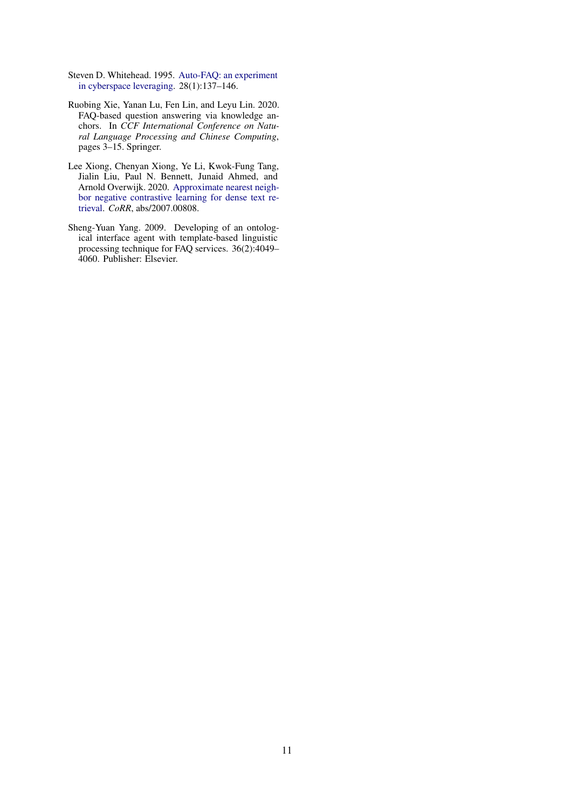- <span id="page-10-0"></span>Steven D. Whitehead. 1995. [Auto-FAQ: an experiment](https://doi.org/10.1016/0169-7552(95)00101-2) [in cyberspace leveraging.](https://doi.org/10.1016/0169-7552(95)00101-2) 28(1):137–146.
- <span id="page-10-1"></span>Ruobing Xie, Yanan Lu, Fen Lin, and Leyu Lin. 2020. FAQ-based question answering via knowledge anchors. In *CCF International Conference on Natural Language Processing and Chinese Computing*, pages 3–15. Springer.
- <span id="page-10-3"></span>Lee Xiong, Chenyan Xiong, Ye Li, Kwok-Fung Tang, Jialin Liu, Paul N. Bennett, Junaid Ahmed, and Arnold Overwijk. 2020. [Approximate nearest neigh](http://arxiv.org/abs/2007.00808)[bor negative contrastive learning for dense text re](http://arxiv.org/abs/2007.00808)[trieval.](http://arxiv.org/abs/2007.00808) *CoRR*, abs/2007.00808.
- <span id="page-10-2"></span>Sheng-Yuan Yang. 2009. Developing of an ontological interface agent with template-based linguistic processing technique for FAQ services. 36(2):4049– 4060. Publisher: Elsevier.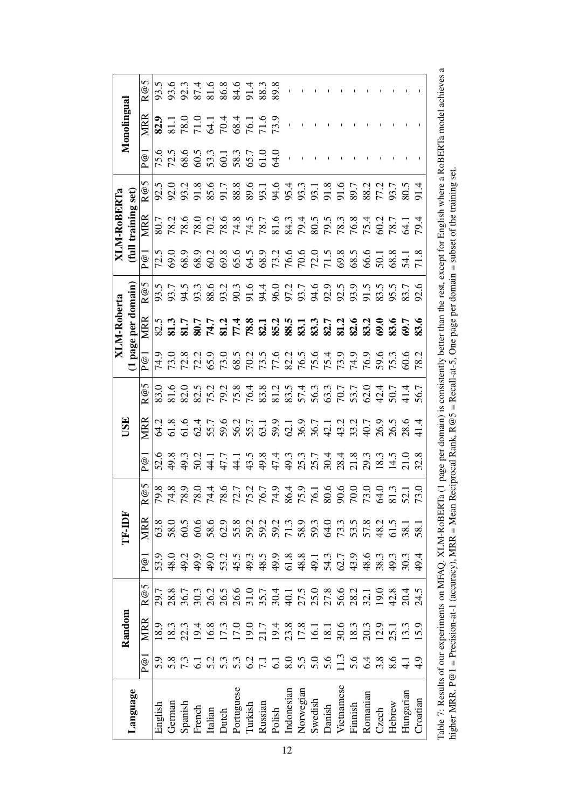|                     | n                         |         |               |         |                                      |         |                  |            |         |              |        |                                              |           |                  |              |                                 |         |              |                  |        |              |          |
|---------------------|---------------------------|---------|---------------|---------|--------------------------------------|---------|------------------|------------|---------|--------------|--------|----------------------------------------------|-----------|------------------|--------------|---------------------------------|---------|--------------|------------------|--------|--------------|----------|
|                     | $\odot$<br>$\bar{\alpha}$ |         |               |         |                                      |         |                  |            |         | 88.3<br>89.8 |        |                                              |           |                  |              |                                 |         |              |                  |        |              |          |
| Monolingual         | MRR                       |         |               |         | 823<br>2000 1441668<br>2000 144166   |         |                  |            |         |              |        |                                              |           |                  |              |                                 |         |              |                  |        |              |          |
|                     | $\bar{\mathbb{e}}$        |         |               |         |                                      |         |                  |            |         |              | 64.0   |                                              |           |                  |              |                                 |         |              |                  |        |              |          |
|                     | R@5                       |         |               |         |                                      |         |                  |            |         |              |        | 89.1<br>83.1<br>85.4                         |           |                  | 335588753558 |                                 |         |              |                  |        | 80.5         |          |
| (full training set) | MRR                       | 80.7    |               |         |                                      |         |                  |            |         |              |        |                                              |           |                  |              |                                 |         |              |                  |        |              |          |
|                     | $\bar{\mathbb{e}}$        |         |               |         |                                      |         |                  |            |         |              |        |                                              |           |                  |              |                                 |         |              |                  |        |              |          |
|                     | R@5                       |         |               |         |                                      |         |                  |            |         |              |        |                                              |           |                  |              |                                 |         |              |                  |        | 83.7<br>92.6 |          |
| (1 page per domain) | MRR                       |         |               |         |                                      |         |                  |            |         |              |        |                                              |           |                  |              |                                 |         |              |                  |        |              |          |
|                     | $\bar{\mathbb{e}}$        |         |               |         |                                      |         |                  |            |         |              |        |                                              |           |                  |              |                                 |         |              |                  |        |              | 78.      |
|                     | $\mathfrak{G}$            | 83.0    |               |         |                                      |         |                  |            |         |              |        |                                              |           |                  |              |                                 |         |              |                  |        |              |          |
| USE                 | MRR                       | 64.2    |               |         |                                      |         |                  |            |         |              |        |                                              |           |                  |              |                                 |         |              |                  |        |              |          |
|                     | P@1                       | 52.6    |               |         |                                      |         |                  |            |         |              |        |                                              |           |                  |              |                                 |         |              |                  |        |              |          |
|                     | R@5                       |         |               |         |                                      |         |                  |            |         |              |        |                                              |           |                  |              |                                 |         |              |                  |        |              |          |
| <b>TF-IDF</b>       | MRR                       | 63.8    | 58.0          |         | 60.6                                 | 58.6    | 62.9             | 55.8       | 59.2    | 59.2         |        | 59.2<br>71.3                                 | 58.9      | 59.3             |              | 3<br>3<br>3<br>3<br>3<br>3<br>3 |         | 57.8<br>48.2 |                  |        | 38.          | 58.1     |
|                     | P@1                       | 53.9    | 48.0          | 49.2    | 49.9                                 | 49.0    | 53.2             | 45.5       | 49.3    | 48.5         | 49.9   | 61.8                                         | 48.8      | 49.1             | 54.3         | 62.7                            | 43.9    | 48.6         | 38.3             | 49.3   | 30.3         | 49.4     |
|                     | R@5                       | 29.7    | 28.8          | 36.7    | 30.3<br>26.5<br>26.6<br>26.7<br>30.4 |         |                  |            |         |              |        | $\overline{40.1}$                            |           |                  |              |                                 |         |              | 0.61             | 42.8   | 20.4         | 24.5     |
| Random              | <b>MRR</b>                | 18.9    | 18.3          | 22.3    | 19.4                                 | 16.8    | 17.3<br>17.0     |            |         |              |        | 19.0<br>21.7<br>23.8<br>17.8<br>16.1<br>18.1 |           |                  |              | 30.6                            | 18.3    | 20.3         | 12.9             | 25.1   | 13.3         | .59      |
|                     | P@1                       | 5.6     | 5. 7.<br>2. 9 |         |                                      | 5.2     | $5.\overline{3}$ |            |         |              |        | $\overline{8.0}$                             |           | $\frac{5}{5}$ .0 | 5.6          | $\frac{3}{2}$                   | 5.6     | 6.4          | $3.\overline{8}$ |        |              |          |
| Language            |                           | English | German        | Spanish | French                               | Italian | Dutch            | Portuguese | Turkish | Russian      | Polish | Indonesian                                   | Norwegian | Swedish          | Danish       | Vietnamese                      | Finnish | Romanian     | $\rm Czech$      | Hebrew | Hungarian    | Croatian |

higher MRR. P@1 = Precision-at-1 (accuracy), MRR = Mean Reciprocal Rank, R@5 = Recall-at-5, One page per domain = subset of the training set.